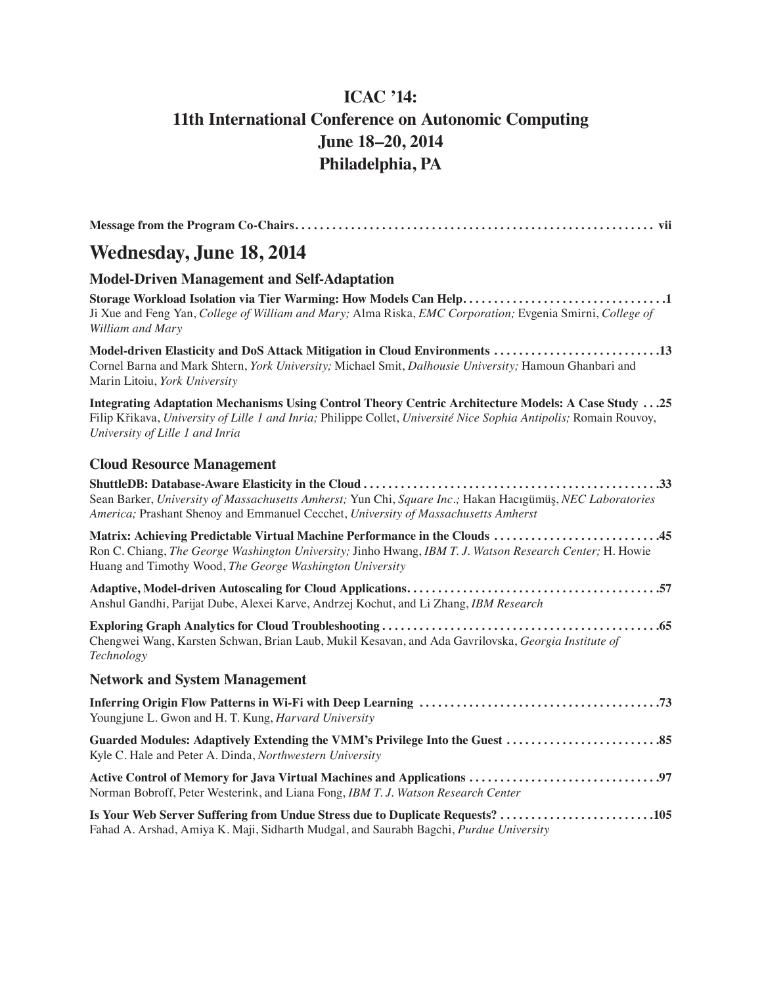## **ICAC '14: 11th International Conference on Autonomic Computing June 18–20, 2014 Philadelphia, PA**

| Wednesday, June 18, 2014 |  |
|--------------------------|--|

#### **Model-Driven Management and Self-Adaptation**

**Storage Workload Isolation via Tier Warming: How Models Can Help . . . . . . . . . . . . . . . . . . . . . . . . . . . . . . . . 1** Ji Xue and Feng Yan, *College of William and Mary;* Alma Riska, *EMC Corporation;* Evgenia Smirni, *College of William and Mary*

**Model-driven Elasticity and DoS Attack Mitigation in Cloud Environments . . . . . . . . . . . . . . . . . . . . . . . . . . 13** Cornel Barna and Mark Shtern, *York University;* Michael Smit, *Dalhousie University;* Hamoun Ghanbari and Marin Litoiu, *York University*

**Integrating Adaptation Mechanisms Using Control Theory Centric Architecture Models: A Case Study . . 25** Filip Křikava, *University of Lille 1 and Inria;* Philippe Collet, *Université Nice Sophia Antipolis;* Romain Rouvoy, *University of Lille 1 and Inria*

#### **Cloud Resource Management**

**Is Your Web Server Suffering from Undue Stress due to Duplicate Requests? . . . . . . . . . . . . . . . . . . . . . . . . 105** Fahad A. Arshad, Amiya K. Maji, Sidharth Mudgal, and Saurabh Bagchi, *Purdue University*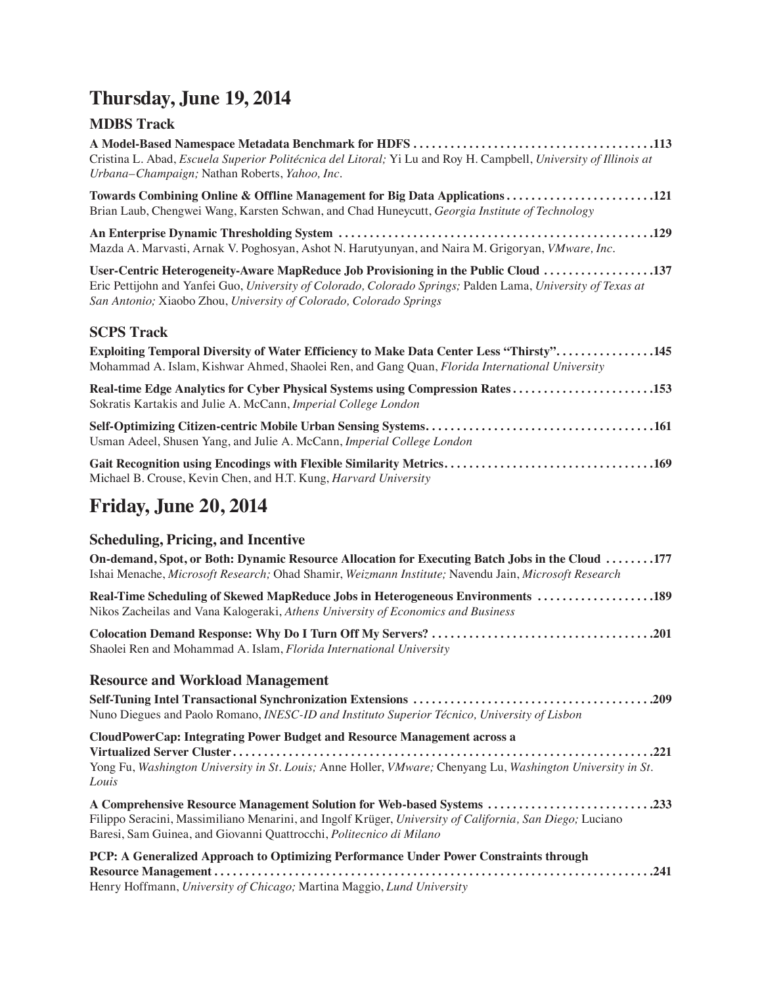# **Thursday, June 19, 2014**

### **MDBS Track**

| Cristina L. Abad, Escuela Superior Politécnica del Litoral; Yi Lu and Roy H. Campbell, University of Illinois at<br>Urbana-Champaign; Nathan Roberts, Yahoo, Inc.                                                                                                         |
|---------------------------------------------------------------------------------------------------------------------------------------------------------------------------------------------------------------------------------------------------------------------------|
| Towards Combining Online & Offline Management for Big Data Applications 121                                                                                                                                                                                               |
| Brian Laub, Chengwei Wang, Karsten Schwan, and Chad Huneycutt, Georgia Institute of Technology                                                                                                                                                                            |
| Mazda A. Marvasti, Arnak V. Poghosyan, Ashot N. Harutyunyan, and Naira M. Grigoryan, VMware, Inc.                                                                                                                                                                         |
| User-Centric Heterogeneity-Aware MapReduce Job Provisioning in the Public Cloud 137<br>Eric Pettijohn and Yanfei Guo, University of Colorado, Colorado Springs; Palden Lama, University of Texas at<br>San Antonio; Xiaobo Zhou, University of Colorado, Colorado Springs |
| <b>SCPS Track</b>                                                                                                                                                                                                                                                         |
| <b>Exploiting Temporal Diversity of Water Efficiency to Make Data Center Less "Thirsty"145</b><br>Mohammad A. Islam, Kishwar Ahmed, Shaolei Ren, and Gang Quan, Florida International University                                                                          |
| Real-time Edge Analytics for Cyber Physical Systems using Compression Rates153<br>Sokratis Kartakis and Julie A. McCann, Imperial College London                                                                                                                          |
| Usman Adeel, Shusen Yang, and Julie A. McCann, Imperial College London                                                                                                                                                                                                    |
| Gait Recognition using Encodings with Flexible Similarity Metrics169<br>Michael B. Crouse, Kevin Chen, and H.T. Kung, Harvard University                                                                                                                                  |

## **Friday, June 20, 2014**

## **Scheduling, Pricing, and Incentive**

| On-demand, Spot, or Both: Dynamic Resource Allocation for Executing Batch Jobs in the Cloud 177<br>Ishai Menache, Microsoft Research; Ohad Shamir, Weizmann Institute; Navendu Jain, Microsoft Research                                                   |
|-----------------------------------------------------------------------------------------------------------------------------------------------------------------------------------------------------------------------------------------------------------|
| Real-Time Scheduling of Skewed MapReduce Jobs in Heterogeneous Environments 189<br>Nikos Zacheilas and Vana Kalogeraki, Athens University of Economics and Business                                                                                       |
| Shaolei Ren and Mohammad A. Islam, Florida International University                                                                                                                                                                                       |
| <b>Resource and Workload Management</b>                                                                                                                                                                                                                   |
| Nuno Diegues and Paolo Romano, INESC-ID and Instituto Superior Técnico, University of Lisbon                                                                                                                                                              |
| <b>CloudPowerCap: Integrating Power Budget and Resource Management across a</b><br>Yong Fu, Washington University in St. Louis; Anne Holler, VMware; Chenyang Lu, Washington University in St.<br>Louis                                                   |
| A Comprehensive Resource Management Solution for Web-based Systems 233<br>Filippo Seracini, Massimiliano Menarini, and Ingolf Krüger, University of California, San Diego; Luciano<br>Baresi, Sam Guinea, and Giovanni Quattrocchi, Politecnico di Milano |
| PCP: A Generalized Approach to Optimizing Performance Under Power Constraints through<br>Henry Hoffmann, University of Chicago; Martina Maggio, Lund University                                                                                           |